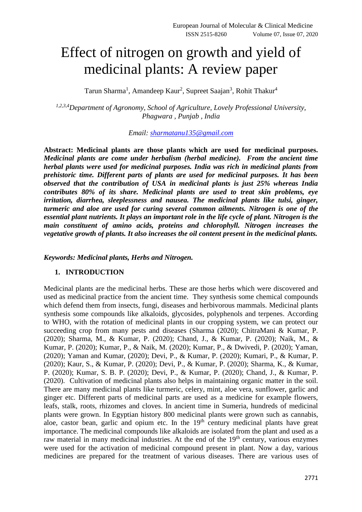# Effect of nitrogen on growth and yield of medicinal plants: A review paper

Tarun Sharma<sup>1</sup>, Amandeep Kaur<sup>2</sup>, Supreet Saajan<sup>3</sup>, Rohit Thakur<sup>4</sup>

*1,2,3,4Department of Agronomy, School of Agriculture, Lovely Professional University, Phagwara , Punjab , India*

*Email: [sharmatanu135@gmail.com](mailto:sharmatanu135@gmail.com)*

**Abstract: Medicinal plants are those plants which are used for medicinal purposes.**  *Medicinal plants are come under herbalism (herbal medicine). From the ancient time herbal plants were used for medicinal purposes. India was rich in medicinal plants from prehistoric time. Different parts of plants are used for medicinal purposes. It has been observed that the contribution of USA in medicinal plants is just 25% whereas India contributes 80% of its share. Medicinal plants are used to treat skin problems, eye irritation, diarrhea, sleeplessness and nausea. The medicinal plants like tulsi, ginger, turmeric and aloe are used for curing several common ailments. Nitrogen is one of the essential plant nutrients. It plays an important role in the life cycle of plant. Nitrogen is the main constituent of amino acids, proteins and chlorophyll. Nitrogen increases the vegetative growth of plants. It also increases the oil content present in the medicinal plants.*

*Keywords: Medicinal plants, Herbs and Nitrogen.*

#### **1. INTRODUCTION**

Medicinal plants are the medicinal herbs. These are those herbs which were discovered and used as medicinal practice from the ancient time. They synthesis some chemical compounds which defend them from insects, fungi, diseases and herbivorous mammals. Medicinal plants synthesis some compounds like alkaloids, glycosides, polyphenols and terpenes. According to WHO, with the rotation of medicinal plants in our cropping system, we can protect our succeeding crop from many pests and diseases (Sharma (2020); ChitraMani & Kumar, P. (2020); Sharma, M., & Kumar, P. (2020); Chand, J., & Kumar, P. (2020); Naik, M., & Kumar, P. (2020); Kumar, P., & Naik, M. (2020); Kumar, P., & Dwivedi, P. (2020); Yaman, (2020); Yaman and Kumar, (2020); Devi, P., & Kumar, P. (2020); Kumari, P., & Kumar, P. (2020); Kaur, S., & Kumar, P. (2020); Devi, P., & Kumar, P. (2020); Sharma, K., & Kumar, P. (2020); Kumar, S. B. P. (2020); Devi, P., & Kumar, P. (2020); Chand, J., & Kumar, P. (2020). Cultivation of medicinal plants also helps in maintaining organic matter in the soil. There are many medicinal plants like turmeric, celery, mint, aloe vera, sunflower, garlic and ginger etc. Different parts of medicinal parts are used as a medicine for example flowers, leafs, stalk, roots, rhizomes and cloves. In ancient time in Sumeria, hundreds of medicinal plants were grown. In Egyptian history 800 medicinal plants were grown such as cannabis, aloe, castor bean, garlic and opium etc. In the  $19<sup>th</sup>$  century medicinal plants have great importance. The medicinal compounds like alkaloids are isolated from the plant and used as a raw material in many medicinal industries. At the end of the 19<sup>th</sup> century, various enzymes were used for the activation of medicinal compound present in plant. Now a day, various medicines are prepared for the treatment of various diseases. There are various uses of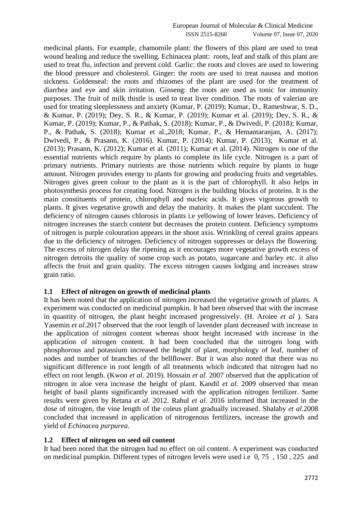medicinal plants. For example, chamomile plant: the flowers of this plant are used to treat wound healing and reduce the swelling. Echinacea plant: roots, leaf and stalk of this plant are used to treat flu, infection and prevent cold. Garlic: the roots and cloves are used to lowering the blood pressure and cholesterol. Ginger: the roots are used to treat nausea and motion sickness. Goldenseal: the roots and rhizomes of the plant are used for the treatment of diarrhea and eye and skin irritation. Ginseng: the roots are used as tonic for immunity purposes. The fruit of milk thistle is used to treat liver condition. The roots of valerian are used for treating sleeplessness and anxiety (Kumar, P. (2019); Kumar, D., Rameshwar, S. D., & Kumar, P. (2019); Dey, S. R., & Kumar, P. (2019); Kumar et al. (2019); Dey, S. R., & Kumar, P. (2019); Kumar, P., & Pathak, S. (2018); Kumar, P., & Dwivedi, P. (2018); Kumar, P., & Pathak, S. (2018); Kumar et al.,2018; Kumar, P., & Hemantaranjan, A. (2017); Dwivedi, P., & Prasann, K. (2016). Kumar, P. (2014); Kumar, P. (2013); Kumar et al. (2013); Prasann, K. (2012); Kumar et al. (2011); Kumar et al. (2014). Nitrogen is one of the essential nutrients which require by plants to complete its life cycle. Nitrogen is a part of primary nutrients. Primary nutrients are those nutrients which require by plants in huge amount. Nitrogen provides energy to plants for growing and producing fruits and vegetables. Nitrogen gives green colour to the plant as it is the part of chlorophyll. It also helps in photosynthesis process for creating food. Nitrogen is the building blocks of proteins. It is the main constituents of protein, chlorophyll and nucleic acids. It gives vigorous growth to plants. It gives vegetative growth and delay the maturity. It makes the plant succulent. The deficiency of nitrogen causes chlorosis in plants i.e yellowing of lower leaves. Deficiency of nitrogen increases the starch content but decreases the protein content. Deficiency symptoms of nitrogen is purple colouration appears in the shoot axis. Wrinkling of cereal grains appears due to the deficiency of nitrogen. Deficiency of nitrogen suppresses or delays the flowering. The excess of nitrogen delay the ripening as it encourages more vegetative growth excess of nitrogen detroits the quality of some crop such as potato, sugarcane and barley etc. it also affects the fruit and grain quality. The excess nitrogen causes lodging and increases straw grain ratio.

#### **1.1 Effect of nitrogen on growth of medicinal plants**

It has been noted that the application of nitrogen increased the vegetative growth of plants. A experiment was conducted on medicinal pumpkin. It had been observed that with the increase in quantity of nitrogen, the plant height increased progressively. (H. Aroiee *et al* ). Sara Yasemin *et al*.2017 observed that the root length of lavender plant decreased with increase in the application of nitrogen content whereas shoot height increased with increase in the application of nitrogen content. It had been concluded that the nitrogen long with phosphorous and potassium increased the height of plant, morphology of leaf, number of nodes and number of branches of the bellflower. But it was also noted that there was no significant difference in root length of all treatments which indicated that nitrogen had no effect on root length. (Kwon *et al*. 2019). Hossain *et al*. 2007 observed that the application of nitrogen in aloe vera increase the height of plant. Kandil *et al*. 2009 observed that mean height of basil plants significantly increased with the application nitrogen fertilizer. Same results were given by Retana *et al*. 2012. Rahul *et al*. 2016 informed that increased in the dose of nitrogen, the vine length of the coleus plant gradually increased. Shalaby *et al*.2008 concluded that increased in application of nitrogenous fertilizers, increase the growth and yield of *Echinacea purpurea*.

#### **1.2 Effect of nitrogen on seed oil content**

It had been noted that the nitrogen had no effect on oil content. A experiment was conducted on medicinal pumpkin. Different types of nitrogen levels were used i.e 0, 75 , 150 , 225 and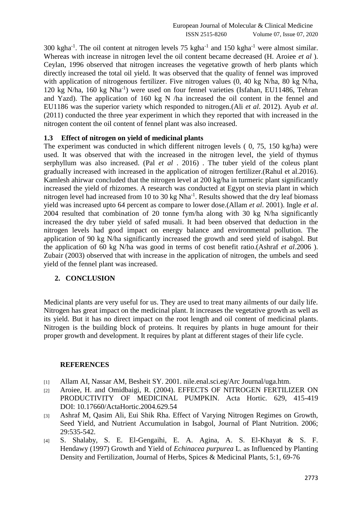$300 \text{ kgha}^{-1}$ . The oil content at nitrogen levels 75 kgha<sup>-1</sup> and 150 kgha<sup>-1</sup> were almost similar. Whereas with increase in nitrogen level the oil content became decreased (H. Aroiee *et al* ). Ceylan, 1996 observed that nitrogen increases the vegetative growth of herb plants which directly increased the total oil yield. It was observed that the quality of fennel was improved with application of nitrogenous fertilizer. Five nitrogen values (0, 40 kg N/ha, 80 kg N/ha, 120 kg N/ha, 160 kg Nha-1 ) were used on four fennel varieties (Isfahan, EU11486, Tehran and Yazd). The application of 160 kg N /ha increased the oil content in the fennel and EU1186 was the superior variety which responded to nitrogen.(Ali *et al*. 2012). Ayub *et al*. (2011) conducted the three year experiment in which they reported that with increased in the nitrogen content the oil content of fennel plant was also increased.

## **1.3 Effect of nitrogen on yield of medicinal plants**

The experiment was conducted in which different nitrogen levels ( 0, 75, 150 kg/ha) were used. It was observed that with the increased in the nitrogen level, the yield of thymus serphyllum was also increased. (Pal *et al* . 2016) . The tuber yield of the coleus plant gradually increased with increased in the application of nitrogen fertilizer.(Rahul et al.2016). Kamlesh ahirwar concluded that the nitrogen level at 200 kg/ha in turmeric plant significantly increased the yield of rhizomes. A research was conducted at Egypt on stevia plant in which nitrogen level had increased from 10 to 30 kg Nha<sup>-1</sup>. Results showed that the dry leaf biomass yield was increased upto 64 percent as compare to lower dose.(Allam *et al*. 2001). Ingle *et al*. 2004 resulted that combination of 20 tonne fym/ha along with 30 kg N/ha significantly increased the dry tuber yield of safed musali. It had been observed that deduction in the nitrogen levels had good impact on energy balance and environmental pollution. The application of 90 kg N/ha significantly increased the growth and seed yield of isabgol. But the application of 60 kg N/ha was good in terms of cost benefit ratio.(Ashraf *et al*.2006 ). Zubair (2003) observed that with increase in the application of nitrogen, the umbels and seed yield of the fennel plant was increased.

### **2. CONCLUSION**

Medicinal plants are very useful for us. They are used to treat many ailments of our daily life. Nitrogen has great impact on the medicinal plant. It increases the vegetative growth as well as its yield. But it has no direct impact on the root length and oil content of medicinal plants. Nitrogen is the building block of proteins. It requires by plants in huge amount for their proper growth and development. It requires by plant at different stages of their life cycle.

#### **REFERENCES**

- [1] Allam AI, Nassar AM, Besheit SY. 2001. nile.enal.sci.eg/Arc Journal/uga.htm.
- [2] Aroiee, H. and Omidbaigi, R. (2004). EFFECTS OF NITROGEN FERTILIZER ON PRODUCTIVITY OF MEDICINAL PUMPKIN. Acta Hortic. 629, 415-419 DOI: 10.17660/ActaHortic.2004.629.54
- [3] Ashraf M, Qasim Ali, Eui Shik Rha. Effect of Varying Nitrogen Regimes on Growth, Seed Yield, and Nutrient Accumulation in Isabgol, Journal of Plant Nutrition. 2006; 29:535-542.
- [4] S. Shalaby, S. E. El-Gengaihi, E. A. Agina, A. S. El-Khayat & S. F. Hendawy (1997) Growth and Yield of *Echinacea purpurea* L. as Influenced by Planting Density and Fertilization, Journal of Herbs, Spices & Medicinal Plants, 5:1, 69-76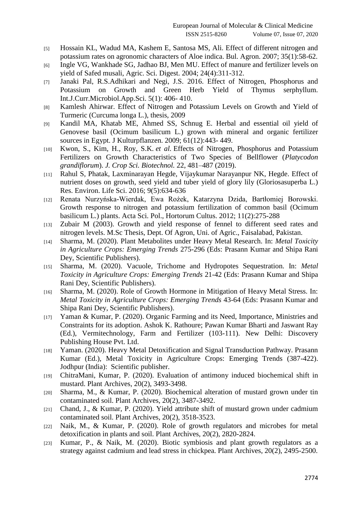- [5] Hossain KL, Wadud MA, Kashem E, Santosa MS, Ali. Effect of different nitrogen and potassium rates on agronomic characters of Aloe indica. Bul. Agron. 2007; 35(1):58-62.
- [6] Ingle VG, Wankhade SG, Jadhao BJ, Men MU. Effect of manure and fertilizer levels on yield of Safed musali, Agric. Sci. Digest. 2004; 24(4):311-312.
- [7] Janaki Pal, R.S.Adhikari and Negi, J.S. 2016. Effect of Nitrogen, Phosphorus and Potassium on Growth and Green Herb Yield of Thymus serphyllum. Int.J.Curr.Microbiol.App.Sci. 5(1): 406- 410.
- [8] Kamlesh Ahirwar. Effect of Nitrogen and Potassium Levels on Growth and Yield of Turmeric (Curcuma longa L.), thesis, 2009
- [9] Kandil MA, Khatab ME, Ahmed SS, Schnug E. Herbal and essential oil yield of Genovese basil (Ocimum basilicum L.) grown with mineral and organic fertilizer sources in Egypt. J Kulturpflanzen. 2009; 61(12):443- 449.
- [10] Kwon, S., Kim, H., Roy, S.K. *et al.* Effects of Nitrogen, Phosphorus and Potassium Fertilizers on Growth Characteristics of Two Species of Bellflower (*Platycodon grandiflorum*). *J. Crop Sci. Biotechnol.* 22, 481–487 (2019).
- [11] Rahul S, Phatak, Laxminarayan Hegde, Vijaykumar Narayanpur NK, Hegde. Effect of nutrient doses on growth, seed yield and tuber yield of glory lily (Gloriosasuperba L.) Res. Environ. Life Sci. 2016; 9(5):634-636
- [12] Renata Nurzyńska-Wierdak, Ewa Rożek, Katarzyna Dzida, Bartłomiej Borowski. Growth response to nitrogen and potassium fertilization of common basil (Ocimum basilicum L.) plants. Acta Sci. Pol., Hortorum Cultus. 2012; 11(2):275-288
- [13] Zubair M (2003). Growth and yield response of fennel to different seed rates and nitrogen levels. M.Sc Thesis, Dept. Of Agron, Uni. of Agric., Faisalabad, Pakistan.
- [14] Sharma, M. (2020). Plant Metabolites under Heavy Metal Research. In: *Metal Toxicity in Agriculture Crops: Emerging Trends* 275-296 (Eds: Prasann Kumar and Shipa Rani Dey, Scientific Publishers).
- [15] Sharma, M. (2020). Vacuole, Trichome and Hydropotes Sequestration. In: *Metal Toxicity in Agriculture Crops: Emerging Trends* 21-42 (Eds: Prasann Kumar and Shipa Rani Dey, Scientific Publishers).
- [16] Sharma, M. (2020). Role of Growth Hormone in Mitigation of Heavy Metal Stress. In: *Metal Toxicity in Agriculture Crops: Emerging Trends* 43-64 (Eds: Prasann Kumar and Shipa Rani Dey, Scientific Publishers).
- [17] Yaman & Kumar, P. (2020). Organic Farming and its Need, Importance, Ministries and Constraints for its adoption. Ashok K. Rathoure; Pawan Kumar Bharti and Jaswant Ray (Ed.), Vermitechnology, Farm and Fertilizer (103-111). New Delhi: Discovery Publishing House Pvt. Ltd.
- [18] Yaman. (2020). Heavy Metal Detoxification and Signal Transduction Pathway. Prasann Kumar (Ed.), Metal Toxicity in Agriculture Crops: Emerging Trends (387-422). Jodhpur (India): Scientific publisher.
- [19] ChitraMani, Kumar, P. (2020). Evaluation of antimony induced biochemical shift in mustard. Plant Archives, 20(2), 3493-3498.
- [20] Sharma, M., & Kumar, P. (2020). Biochemical alteration of mustard grown under tin contaminated soil. Plant Archives, 20(2), 3487-3492.
- [21] Chand, J., & Kumar, P. (2020). Yield attribute shift of mustard grown under cadmium contaminated soil. Plant Archives, 20(2), 3518-3523.
- [22] Naik, M., & Kumar, P. (2020). Role of growth regulators and microbes for metal detoxification in plants and soil. Plant Archives, 20(2), 2820-2824.
- [23] Kumar, P., & Naik, M. (2020). Biotic symbiosis and plant growth regulators as a strategy against cadmium and lead stress in chickpea. Plant Archives, 20(2), 2495-2500.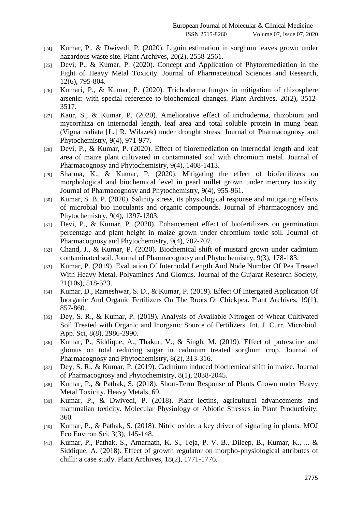- [24] Kumar, P., & Dwivedi, P. (2020). Lignin estimation in sorghum leaves grown under hazardous waste site. Plant Archives, 20(2), 2558-2561.
- [25] Devi, P., & Kumar, P. (2020). Concept and Application of Phytoremediation in the Fight of Heavy Metal Toxicity. Journal of Pharmaceutical Sciences and Research, 12(6), 795-804.
- [26] Kumari, P., & Kumar, P. (2020). Trichoderma fungus in mitigation of rhizosphere arsenic: with special reference to biochemical changes. Plant Archives, 20(2), 3512- 3517.
- [27] Kaur, S., & Kumar, P. (2020). Ameliorative effect of trichoderma, rhizobium and mycorrhiza on internodal length, leaf area and total soluble protein in mung bean (Vigna radiata [L.] R. Wilazek) under drought stress. Journal of Pharmacognosy and Phytochemistry, 9(4), 971-977.
- [28] Devi, P., & Kumar, P. (2020). Effect of bioremediation on internodal length and leaf area of maize plant cultivated in contaminated soil with chromium metal. Journal of Pharmacognosy and Phytochemistry, 9(4), 1408-1413.
- [29] Sharma, K., & Kumar, P. (2020). Mitigating the effect of biofertilizers on morphological and biochemical level in pearl millet grown under mercury toxicity. Journal of Pharmacognosy and Phytochemistry, 9(4), 955-961.
- [30] Kumar, S. B. P. (2020). Salinity stress, its physiological response and mitigating effects of microbial bio inoculants and organic compounds. Journal of Pharmacognosy and Phytochemistry, 9(4), 1397-1303.
- [31] Devi, P., & Kumar, P. (2020). Enhancement effect of biofertilizers on germination percentage and plant height in maize grown under chromium toxic soil. Journal of Pharmacognosy and Phytochemistry, 9(4), 702-707.
- [32] Chand, J., & Kumar, P. (2020). Biochemical shift of mustard grown under cadmium contaminated soil. Journal of Pharmacognosy and Phytochemistry, 9(3), 178-183.
- [33] Kumar, P. (2019). Evaluation Of Internodal Length And Node Number Of Pea Treated With Heavy Metal, Polyamines And Glomus. Journal of the Gujarat Research Society, 21(10s), 518-523.
- [34] Kumar, D., Rameshwar, S. D., & Kumar, P. (2019). Effect Of Intergated Application Of Inorganic And Organic Fertilizers On The Roots Of Chickpea. Plant Archives, 19(1), 857-860.
- [35] Dey, S. R., & Kumar, P. (2019). Analysis of Available Nitrogen of Wheat Cultivated Soil Treated with Organic and Inorganic Source of Fertilizers. Int. J. Curr. Microbiol. App. Sci, 8(8), 2986-2990.
- [36] Kumar, P., Siddique, A., Thakur, V., & Singh, M. (2019). Effect of putrescine and glomus on total reducing sugar in cadmium treated sorghum crop. Journal of Pharmacognosy and Phytochemistry, 8(2), 313-316.
- [37] Dey, S. R., & Kumar, P. (2019). Cadmium induced biochemical shift in maize. Journal of Pharmacognosy and Phytochemistry, 8(1), 2038-2045.
- [38] Kumar, P., & Pathak, S. (2018). Short-Term Response of Plants Grown under Heavy Metal Toxicity. Heavy Metals, 69.
- [39] Kumar, P., & Dwivedi, P. (2018). Plant lectins, agricultural advancements and mammalian toxicity. Molecular Physiology of Abiotic Stresses in Plant Productivity, 360.
- [40] Kumar, P., & Pathak, S. (2018). Nitric oxide: a key driver of signaling in plants. MOJ Eco Environ Sci, 3(3), 145-148.
- [41] Kumar, P., Pathak, S., Amarnath, K. S., Teja, P. V. B., Dileep, B., Kumar, K., ... & Siddique, A. (2018). Effect of growth regulator on morpho-physiological attributes of chilli: a case study. Plant Archives, 18(2), 1771-1776.